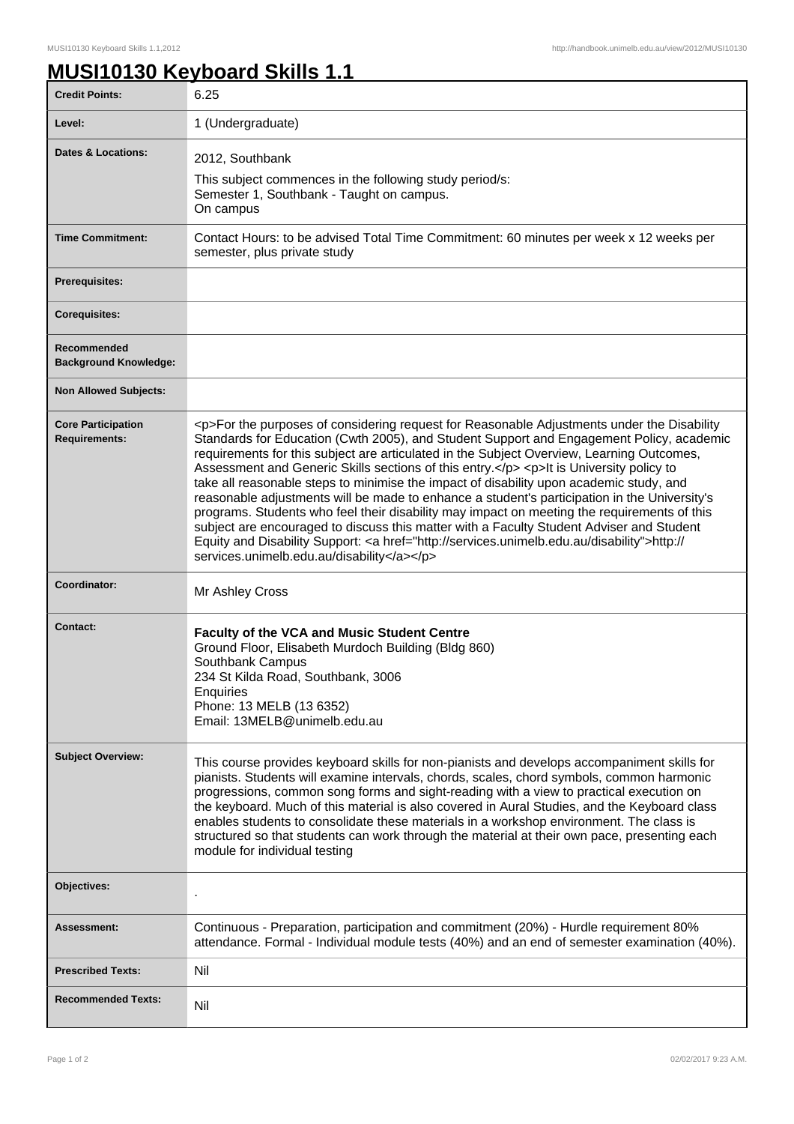1

## **MUSI10130 Keyboard Skills 1.1**

| <b>Credit Points:</b>                             | 6.25                                                                                                                                                                                                                                                                                                                                                                                                                                                                                                                                                                                                                                                                                                                                                                                                                                                                                                                         |
|---------------------------------------------------|------------------------------------------------------------------------------------------------------------------------------------------------------------------------------------------------------------------------------------------------------------------------------------------------------------------------------------------------------------------------------------------------------------------------------------------------------------------------------------------------------------------------------------------------------------------------------------------------------------------------------------------------------------------------------------------------------------------------------------------------------------------------------------------------------------------------------------------------------------------------------------------------------------------------------|
| Level:                                            | 1 (Undergraduate)                                                                                                                                                                                                                                                                                                                                                                                                                                                                                                                                                                                                                                                                                                                                                                                                                                                                                                            |
| <b>Dates &amp; Locations:</b>                     | 2012, Southbank<br>This subject commences in the following study period/s:<br>Semester 1, Southbank - Taught on campus.<br>On campus                                                                                                                                                                                                                                                                                                                                                                                                                                                                                                                                                                                                                                                                                                                                                                                         |
| <b>Time Commitment:</b>                           | Contact Hours: to be advised Total Time Commitment: 60 minutes per week x 12 weeks per<br>semester, plus private study                                                                                                                                                                                                                                                                                                                                                                                                                                                                                                                                                                                                                                                                                                                                                                                                       |
| <b>Prerequisites:</b>                             |                                                                                                                                                                                                                                                                                                                                                                                                                                                                                                                                                                                                                                                                                                                                                                                                                                                                                                                              |
| <b>Corequisites:</b>                              |                                                                                                                                                                                                                                                                                                                                                                                                                                                                                                                                                                                                                                                                                                                                                                                                                                                                                                                              |
| Recommended<br><b>Background Knowledge:</b>       |                                                                                                                                                                                                                                                                                                                                                                                                                                                                                                                                                                                                                                                                                                                                                                                                                                                                                                                              |
| <b>Non Allowed Subjects:</b>                      |                                                                                                                                                                                                                                                                                                                                                                                                                                                                                                                                                                                                                                                                                                                                                                                                                                                                                                                              |
| <b>Core Participation</b><br><b>Requirements:</b> | <p>For the purposes of considering request for Reasonable Adjustments under the Disability<br/>Standards for Education (Cwth 2005), and Student Support and Engagement Policy, academic<br/>requirements for this subject are articulated in the Subject Overview, Learning Outcomes,<br/>Assessment and Generic Skills sections of this entry.</p> <p>lt is University policy to<br/>take all reasonable steps to minimise the impact of disability upon academic study, and<br/>reasonable adjustments will be made to enhance a student's participation in the University's<br/>programs. Students who feel their disability may impact on meeting the requirements of this<br/>subject are encouraged to discuss this matter with a Faculty Student Adviser and Student<br/>Equity and Disability Support: &lt; a href="http://services.unimelb.edu.au/disability"&gt;http://<br/>services.unimelb.edu.au/disability</p> |
| Coordinator:                                      | Mr Ashley Cross                                                                                                                                                                                                                                                                                                                                                                                                                                                                                                                                                                                                                                                                                                                                                                                                                                                                                                              |
| <b>Contact:</b>                                   | <b>Faculty of the VCA and Music Student Centre</b><br>Ground Floor, Elisabeth Murdoch Building (Bldg 860)<br>Southbank Campus<br>234 St Kilda Road, Southbank, 3006<br>Enquiries<br>Phone: 13 MELB (13 6352)<br>Email: 13MELB@unimelb.edu.au                                                                                                                                                                                                                                                                                                                                                                                                                                                                                                                                                                                                                                                                                 |
| <b>Subject Overview:</b>                          | This course provides keyboard skills for non-pianists and develops accompaniment skills for<br>pianists. Students will examine intervals, chords, scales, chord symbols, common harmonic<br>progressions, common song forms and sight-reading with a view to practical execution on<br>the keyboard. Much of this material is also covered in Aural Studies, and the Keyboard class<br>enables students to consolidate these materials in a workshop environment. The class is<br>structured so that students can work through the material at their own pace, presenting each<br>module for individual testing                                                                                                                                                                                                                                                                                                              |
| Objectives:                                       |                                                                                                                                                                                                                                                                                                                                                                                                                                                                                                                                                                                                                                                                                                                                                                                                                                                                                                                              |
| Assessment:                                       | Continuous - Preparation, participation and commitment (20%) - Hurdle requirement 80%<br>attendance. Formal - Individual module tests (40%) and an end of semester examination (40%).                                                                                                                                                                                                                                                                                                                                                                                                                                                                                                                                                                                                                                                                                                                                        |
| <b>Prescribed Texts:</b>                          | Nil                                                                                                                                                                                                                                                                                                                                                                                                                                                                                                                                                                                                                                                                                                                                                                                                                                                                                                                          |
| <b>Recommended Texts:</b>                         | Nil                                                                                                                                                                                                                                                                                                                                                                                                                                                                                                                                                                                                                                                                                                                                                                                                                                                                                                                          |